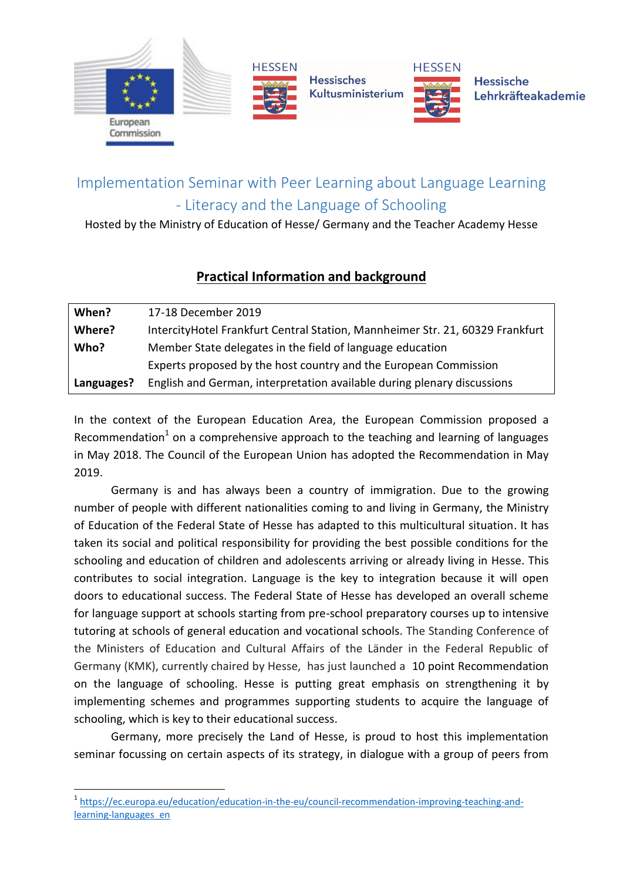

## Implementation Seminar with Peer Learning about Language Learning - Literacy and the Language of Schooling

Hosted by the Ministry of Education of Hesse/ Germany and the Teacher Academy Hesse

## **Practical Information and background**

| When?      | 17-18 December 2019                                                           |
|------------|-------------------------------------------------------------------------------|
| Where?     | IntercityHotel Frankfurt Central Station, Mannheimer Str. 21, 60329 Frankfurt |
| Who?       | Member State delegates in the field of language education                     |
|            | Experts proposed by the host country and the European Commission              |
| Languages? | English and German, interpretation available during plenary discussions       |

In the context of the European Education Area, the European Commission proposed a Recommendation<sup>1</sup> on a comprehensive approach to the teaching and learning of languages in May 2018. The Council of the European Union has adopted the Recommendation in May 2019.

Germany is and has always been a country of immigration. Due to the growing number of people with different nationalities coming to and living in Germany, the Ministry of Education of the Federal State of Hesse has adapted to this multicultural situation. It has taken its social and political responsibility for providing the best possible conditions for the schooling and education of children and adolescents arriving or already living in Hesse. This contributes to social integration. Language is the key to integration because it will open doors to educational success. The Federal State of Hesse has developed an overall scheme for language support at schools starting from pre-school preparatory courses up to intensive tutoring at schools of general education and vocational schools. The Standing Conference of the Ministers of Education and Cultural Affairs of the Länder in the Federal Republic of Germany (KMK), currently chaired by Hesse, has just launched a 10 point Recommendation on the language of schooling. Hesse is putting great emphasis on strengthening it by implementing schemes and programmes supporting students to acquire the language of schooling, which is key to their educational success.

Germany, more precisely the Land of Hesse, is proud to host this implementation seminar focussing on certain aspects of its strategy, in dialogue with a group of peers from

**.** 

<sup>&</sup>lt;sup>1</sup> [https://ec.europa.eu/education/education-in-the-eu/council-recommendation-improving-teaching-and](https://ec.europa.eu/education/education-in-the-eu/council-recommendation-improving-teaching-and-learning-languages_en)[learning-languages\\_en](https://ec.europa.eu/education/education-in-the-eu/council-recommendation-improving-teaching-and-learning-languages_en)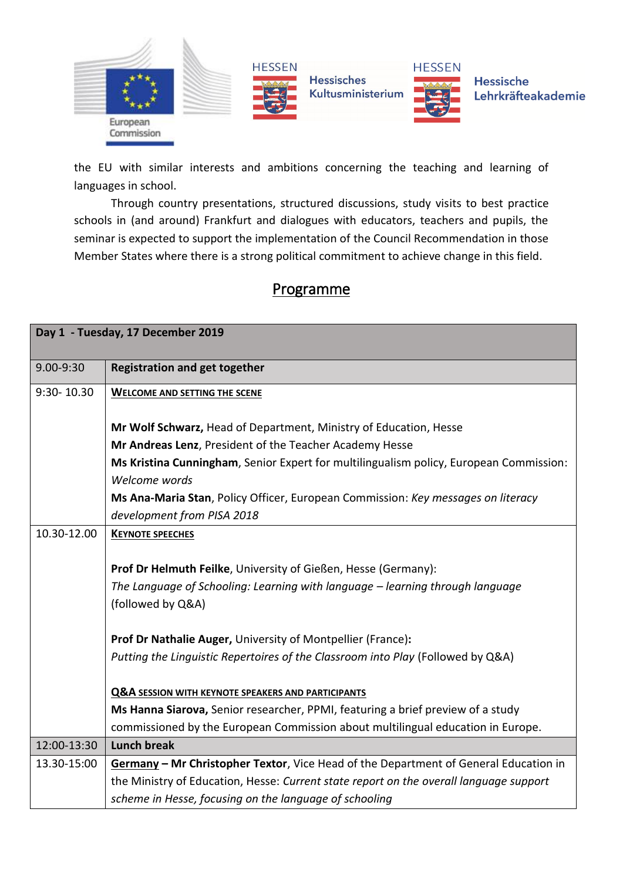

the EU with similar interests and ambitions concerning the teaching and learning of languages in school.

Through country presentations, structured discussions, study visits to best practice schools in (and around) Frankfurt and dialogues with educators, teachers and pupils, the seminar is expected to support the implementation of the Council Recommendation in those Member States where there is a strong political commitment to achieve change in this field.

## Programme

| Day 1 - Tuesday, 17 December 2019 |                                                                                        |  |
|-----------------------------------|----------------------------------------------------------------------------------------|--|
| 9.00-9:30                         | <b>Registration and get together</b>                                                   |  |
| 9:30-10.30                        | <b>WELCOME AND SETTING THE SCENE</b>                                                   |  |
|                                   | Mr Wolf Schwarz, Head of Department, Ministry of Education, Hesse                      |  |
|                                   | Mr Andreas Lenz, President of the Teacher Academy Hesse                                |  |
|                                   | Ms Kristina Cunningham, Senior Expert for multilingualism policy, European Commission: |  |
|                                   | Welcome words                                                                          |  |
|                                   | Ms Ana-Maria Stan, Policy Officer, European Commission: Key messages on literacy       |  |
|                                   | development from PISA 2018                                                             |  |
| 10.30-12.00                       | <b>KEYNOTE SPEECHES</b>                                                                |  |
|                                   |                                                                                        |  |
|                                   | Prof Dr Helmuth Feilke, University of Gießen, Hesse (Germany):                         |  |
|                                   | The Language of Schooling: Learning with language - learning through language          |  |
|                                   | (followed by Q&A)                                                                      |  |
|                                   |                                                                                        |  |
|                                   | Prof Dr Nathalie Auger, University of Montpellier (France):                            |  |
|                                   | Putting the Linguistic Repertoires of the Classroom into Play (Followed by Q&A)        |  |
|                                   | <b>Q&amp;A SESSION WITH KEYNOTE SPEAKERS AND PARTICIPANTS</b>                          |  |
|                                   | Ms Hanna Siarova, Senior researcher, PPMI, featuring a brief preview of a study        |  |
|                                   | commissioned by the European Commission about multilingual education in Europe.        |  |
| 12:00-13:30                       | <b>Lunch break</b>                                                                     |  |
|                                   |                                                                                        |  |
| 13.30-15:00                       | Germany - Mr Christopher Textor, Vice Head of the Department of General Education in   |  |
|                                   | the Ministry of Education, Hesse: Current state report on the overall language support |  |
|                                   | scheme in Hesse, focusing on the language of schooling                                 |  |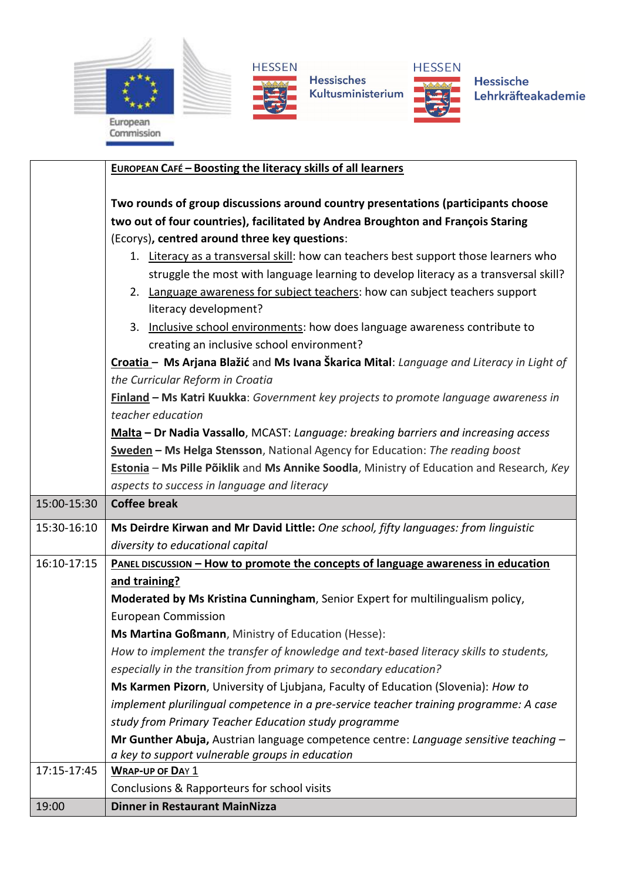





Hessisches Kultusministerium



Hessische Lehrkräfteakademie

|             | <b>EUROPEAN CAFÉ - Boosting the literacy skills of all learners</b>                                                      |
|-------------|--------------------------------------------------------------------------------------------------------------------------|
|             |                                                                                                                          |
|             | Two rounds of group discussions around country presentations (participants choose                                        |
|             | two out of four countries), facilitated by Andrea Broughton and François Staring                                         |
|             | (Ecorys), centred around three key questions:                                                                            |
|             | 1. Literacy as a transversal skill: how can teachers best support those learners who                                     |
|             | struggle the most with language learning to develop literacy as a transversal skill?                                     |
|             | 2. Language awareness for subject teachers: how can subject teachers support                                             |
|             | literacy development?                                                                                                    |
|             | 3. Inclusive school environments: how does language awareness contribute to<br>creating an inclusive school environment? |
|             | Croatia - Ms Arjana Blažić and Ms Ivana Škarica Mital: Language and Literacy in Light of                                 |
|             | the Curricular Reform in Croatia                                                                                         |
|             | Finland - Ms Katri Kuukka: Government key projects to promote language awareness in                                      |
|             | teacher education                                                                                                        |
|             | Malta - Dr Nadia Vassallo, MCAST: Language: breaking barriers and increasing access                                      |
|             | Sweden - Ms Helga Stensson, National Agency for Education: The reading boost                                             |
|             | Estonia - Ms Pille Põiklik and Ms Annike Soodla, Ministry of Education and Research, Key                                 |
|             | aspects to success in language and literacy                                                                              |
| 15:00-15:30 | <b>Coffee break</b>                                                                                                      |
| 15:30-16:10 | Ms Deirdre Kirwan and Mr David Little: One school, fifty languages: from linguistic                                      |
|             | diversity to educational capital                                                                                         |
| 16:10-17:15 | PANEL DISCUSSION - How to promote the concepts of language awareness in education                                        |
|             | and training?                                                                                                            |
|             | Moderated by Ms Kristina Cunningham, Senior Expert for multilingualism policy,                                           |
|             | <b>European Commission</b>                                                                                               |
|             | Ms Martina Goßmann, Ministry of Education (Hesse):                                                                       |
|             | How to implement the transfer of knowledge and text-based literacy skills to students,                                   |
|             | especially in the transition from primary to secondary education?                                                        |
|             | Ms Karmen Pizorn, University of Ljubjana, Faculty of Education (Slovenia): How to                                        |
|             | implement plurilingual competence in a pre-service teacher training programme: A case                                    |
|             | study from Primary Teacher Education study programme                                                                     |
|             | Mr Gunther Abuja, Austrian language competence centre: Language sensitive teaching -                                     |
| 17:15-17:45 | a key to support vulnerable groups in education                                                                          |
|             | <b>WRAP-UP OF DAY 1</b>                                                                                                  |
|             | Conclusions & Rapporteurs for school visits<br><b>Dinner in Restaurant MainNizza</b>                                     |
| 19:00       |                                                                                                                          |